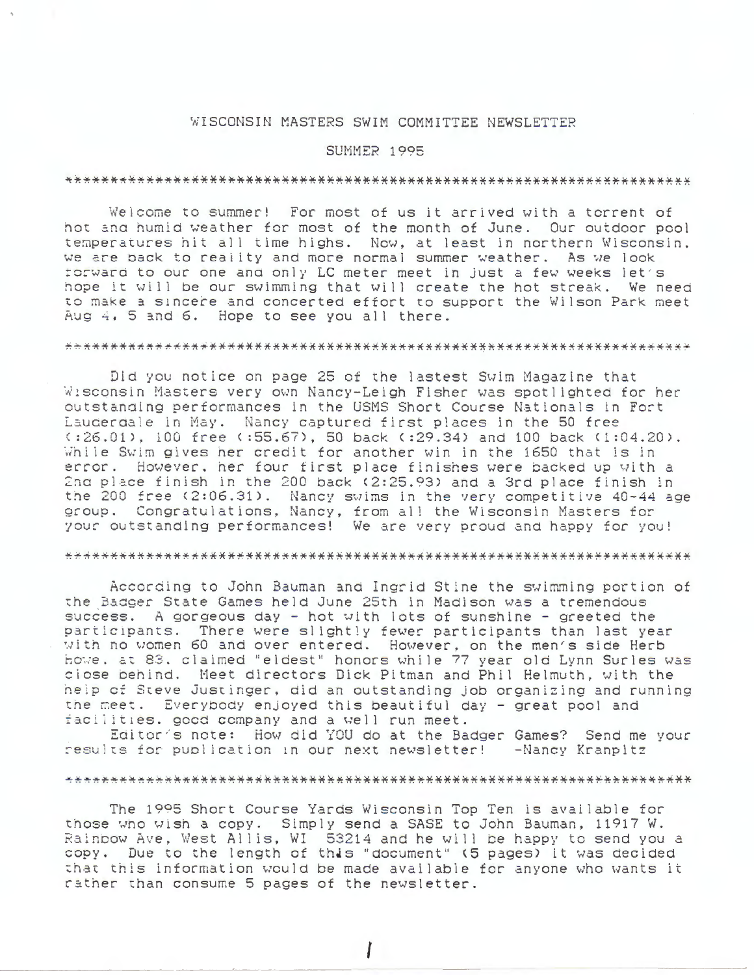## WISCONSIN MASTERS SWIM COMMITTEE NEWSLETTER

### SUMMER 1995

#### 

Welcome to summer! For most of us it arrived with a torrent of hot and humid weather for most of the month of June. Our outdoor pool temperatures hit all time highs. Now, at least in northern Wisconsin, we are back to reality and more normal summer weather. As we look forward to our one and only LC meter meet in just a few weeks let's hope it will be our swimming that will create the hot streak. We need to make a sincere and concerted effort to support the Wilson Park meet Aug 4. 5 and 6. Hope to see you all there.

### 

Did you notice on page 25 of the lastest Swim Magazine that Wisconsin Masters very own Nancy-Leigh Fisher was spotlighted for her outstanding performances in the USMS Short Course Nationals in Fort Lauderdale in May. Nancy captured first places in the 50 free (:26.01), 100 free (:55.67), 50 back (:29.34) and 100 back (1:04.20). While Swim gives her credit for another win in the 1650 that is in error. However, her four first place finishes were backed up with a 2nd place finish in the 200 back (2:25.93) and a 3rd place finish in the 200 free (2:06.31). Nancy swims in the very competitive 40-44 age group. Congratulations, Nancy, from all the Wisconsin Masters for your outstanding performances! We are very proud and happy for you!

#### 

According to John Bauman and Ingrid Stine the swimming portion of the Badger State Games held June 25th in Madison was a tremendous success. A gorgeous day - hot with lots of sunshine - greeted the participants. There were slightly fewer participants than last year with no women 60 and over entered. However, on the men's side Herb howe, at 83, claimed "eldest" honors while 77 year old Lynn Surles was ciose behind. Meet directors Dick Pitman and Phil Helmuth, with the help of Steve Justinger, did an outstanding job organizing and running the meet. Everybody enjoyed this beautiful day - great pool and facilities. good company and a well run meet.

Editor's note: How did YOU do at the Badger Games? Send me your results for publication in our next newsletter! -Nancy Kranpitz

### 

The 1995 Short Course Yards Wisconsin Top Ten is available for those who wish a copy. Simply send a SASE to John Bauman, 11917 W. Rainbow Ave, West Allis, WI 53214 and he will be happy to send you a copy. Due to the length of this "document" (5 pages) it was decided that this information would be made available for anyone who wants it rather than consume 5 pages of the newsletter.

I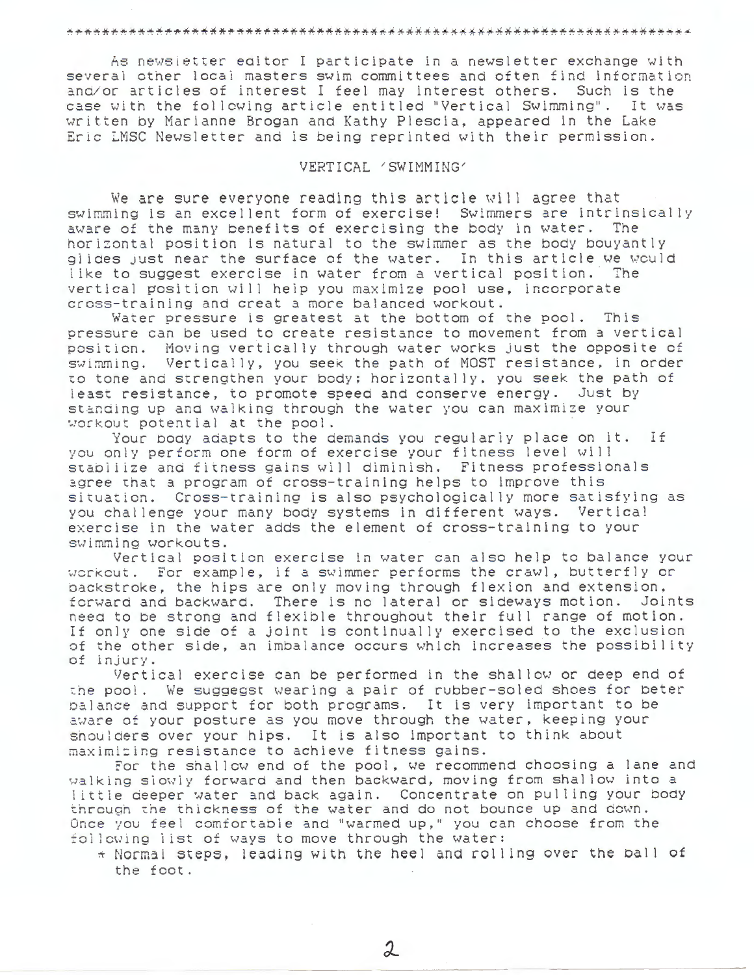#### 

As newsietter editor I participate in a newsletter exchange with several other local masters swim committees and often find information and/or articles of interest I feel may interest others. Such is the case with the following article entitled "Vertical Swimming". It was written by Marianne Brogan and Kathy Plescia, appeared in the Lake Eric LMSC Newsletter and is being reprinted with their permission.

## VERTICAL 'SWIMMING'

We are sure everyone reading this article will agree that swimming is an excel lent form of exercise! Swimmers are intrinsically aware of the many benefits of exercising the body in water. The horizontal position is natural to the swimmer as the body bouyantly glides just near the surface of the water. In this article we would like to suggest exercise in water from a vertical position. The vertical position will help you maximize pool use, incorporate cross-training and creat a more balanced workout.

Water pressure is greatest at the bottom of the pool. This pressure can be used to create resistance to movement from a vertical position. Moving vertically through water works Just the opposite of swimming. Vertically, you seek the path of MOST resistance, in order to tone and strengthen your body; horizontally. you seek the path of least resistance, to promote speed and conserve energy. Just by standing up and walking through the water you can maximize your workout potential at the pool.

Your body adapts to the demands you regularly place on it. If you only perform one form of exercise your fitness level will staoiiize and fitness gains will diminish. Fitness professionals agree that a program of cross-training helps to improve this situation. Cross-training is also psychologically more satisfying as you challenge your many body systems in different ways. Vertical exercise in the water adds the element of cross-training to your swimming workouts.

Vectlcal position exercise in water can also help to balance your workcut. For example, if a swimmer performs the crawl, butterfly or backstroke, the hips are only moving through flexion and extension. forward and backward. There ls no lateral or sideways motion. Joints need to be strong and flexible throughout their full range of motion. If only one side of a Joint ls continually exercised to the exclusion of the other side, an imbalance occurs which increases the possibility of injury.

Vertical exercise can be performed in the shallow or deep end of the pool. We suggegst wearing a pair of rubber-soled shoes for beter oalance and support for both programs. It is very important to be aware of your posture as you move through the water, keeping your shoulders over your hips. It is also important to think about maximiting resistance to achieve fitness gains.

For the shallow end of the pool, we recommend choosing a lane and walking siowly forward and then backward, moving from shallow into a little deeper water and back again. Concentrate on pulling your body through che thickness of the water and do not bounce up and down. Once you feel comfortable and "warmed up," you can choose from the following list of ways to move through the water:

 $*$  Normal steps, leading with the heel and rolling over-the ball of the foot.

 $\mathcal{L}$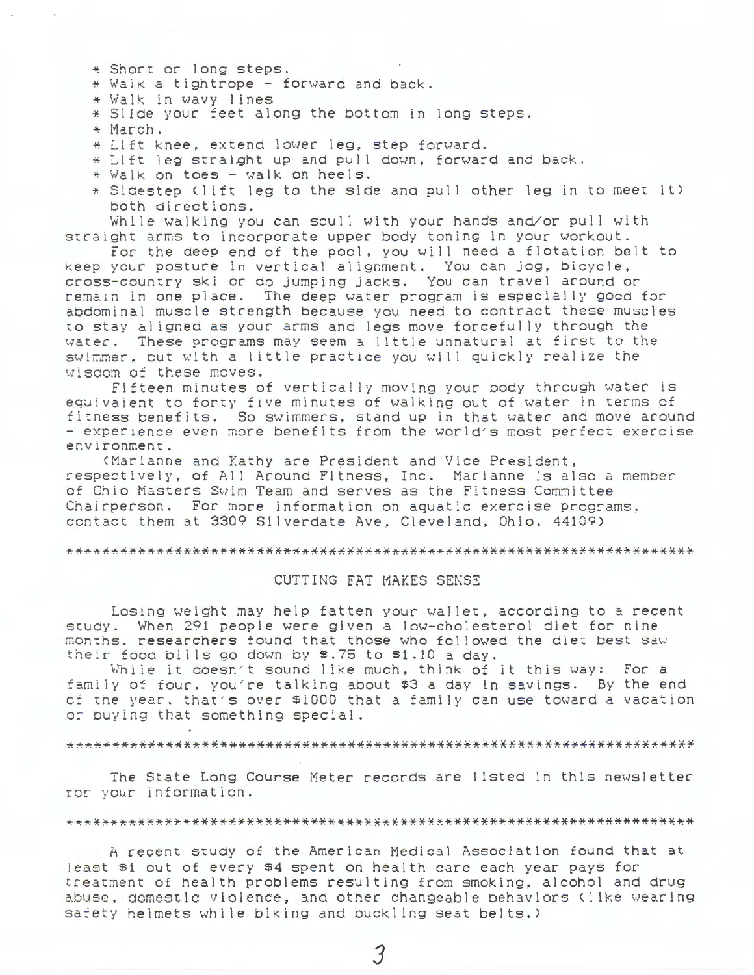- 
- \* Short or long steps.<br>\* Waik a tightrope forward and back.<br>\* Walk in wavy lines
- 
- \* Slide your feet along the bottom in long steps.
- \* March.
- \* Lift knee, extend lower leg, step forward.
- $*$  Lift leg straight up and pull down, forward and back.
- <sup>~</sup>Walk on toes walk on heels.
- \* Sidestep (lift leg to the side and pull other leg in to meet it) both directions.

While walking you can scull with your hands and/or pull with straight arms to incorporate upper body toning in your workout.

For the deep end of the pool, you will need a flotation belt to keep ycur posture in vertical alignment. You can Jog, bicycle, cross-country ski or do Jumping Jacks. You can travel around or remain in one place. The deep water program is especially good for abdominal muscle strength because you need to contract these muscles to stay 21 igned as your arms and legs move forcefully through the water. These programs may seem a little unnatural at first to the swimmer, put with a little practice you will quickly realize the wisaom of these moves.

Fifteen minutes of vertically moving your body through water is equivaient to forty five minutes of walking out of water in terms of fitness benefits. So swimmers, stand up in that water and move around - experience even more benefits from the world's most perfect exercise environment.

(Marianne and Kathy are President and Vice President, respectively, of All Around Fitness, Inc. Marianne is also a member of Ohio Masters Swim Team and serves as the Fitness Committee Chairperson. For more information on aquatic exercise programs, contact them at 3309 Silverdate Ave, Cleveland, Ohio, 44109)

#### 

### CUTTING FAT MAKES SENSE

Losing weight may help fatten your wallet, according to a recent study. When 291 people were given a low-cholesterol diet for nine months. researchers found that those who fellowed the diet best saw their food bills go down by  $$.75$  to  $$1.10$  a day.

While it doesn't sound like much, think of it this way: For a family of four. you're talking about \$3 a day in savings. By the end of the year, that's over \$1000 that a family can use toward a vacation or puying that something special.

#### 

The State Long Course Meter records are listed in this newsletter rcr your information.

### 

A recent study of the American Medical Association found that at least \$1 out of every \$4 spent on health care each year pays for treatment of health problems resulting from smoking, alcohol and drug abuse. aomestic violence, ana other changeable behaviors tlike wearing safety helmets while biking and buckling seat belts.)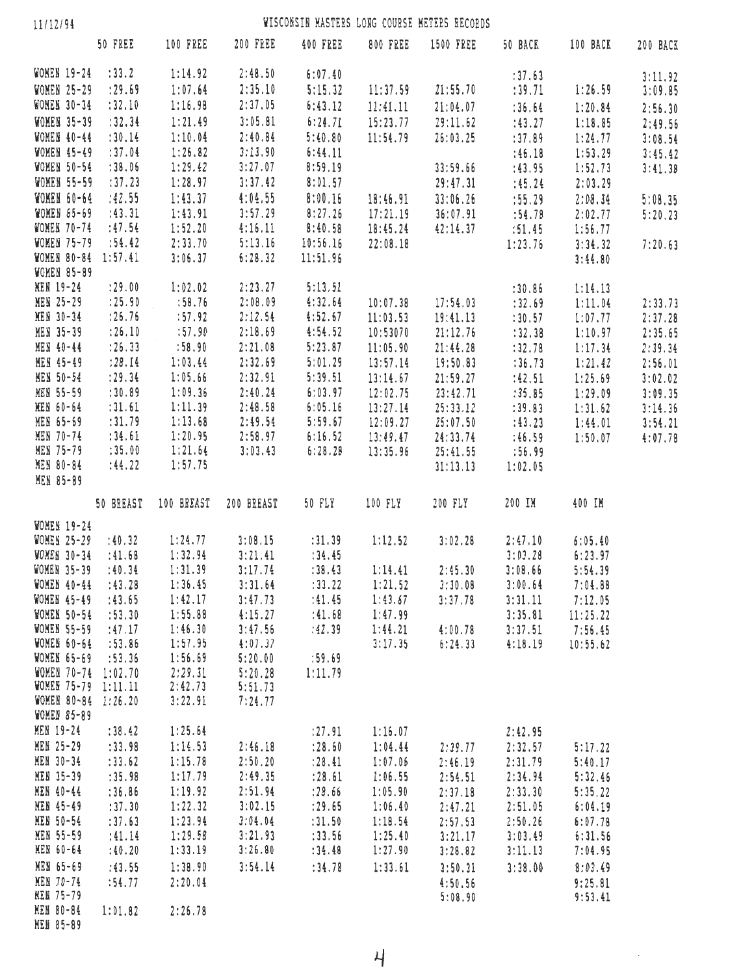| 11/12/94                             |                  |                           |                                                                                                                                                                                                                                                                               |                      |                      | WISCONSIN MASTERS LONG COURSE METERS RECORDS |         |                     |          |
|--------------------------------------|------------------|---------------------------|-------------------------------------------------------------------------------------------------------------------------------------------------------------------------------------------------------------------------------------------------------------------------------|----------------------|----------------------|----------------------------------------------|---------|---------------------|----------|
|                                      |                  | 50 FREE 100 FREE 200 FREE |                                                                                                                                                                                                                                                                               |                      |                      | 400 FREE 800 FREE 1500 FREE 50 BACK 100 BACK |         |                     | 200 BACK |
|                                      |                  | WOMEN 19-24 :33.2 1:14.92 | 2:48.50                                                                                                                                                                                                                                                                       | 6:07.40              |                      |                                              | :37.63  |                     | 3:11.92  |
| WOMEN 25-29 :29.69                   |                  | 1:07.64                   | 2:35.10                                                                                                                                                                                                                                                                       |                      |                      | 5:15.32 11:37.59 21:55.70 :39.71 1:26.59     |         |                     | 3:09.85  |
| <b>WOMEN 30-34</b>                   | :32.10           | 1:16.98                   | 2:37.05                                                                                                                                                                                                                                                                       |                      |                      | 6:43.12 11:41.11 21:04.07 :36.64 1:20.84     |         |                     | 2:56.30  |
| <b>WOMEN 35-39</b>                   | : 32.34          | 1:21.49                   | 3:05.81                                                                                                                                                                                                                                                                       |                      |                      | 6:24.71  15:23.77  29:11.62  :43.27  1:18.85 |         |                     | 2:49.56  |
| WOMEN 40-44 :30.14                   |                  | 1:10.04                   | 2:40.84                                                                                                                                                                                                                                                                       |                      |                      | 5:40.80 11:54.79 26:03.25 :37.89 1:24.77     |         |                     | 3:08.54  |
| WOMEN 45-49 :37.04                   |                  | 1:26.82                   | 3:13.90                                                                                                                                                                                                                                                                       | 6:44.11              |                      |                                              |         | $:46.18$ $1:53.29$  | 3:45.42  |
| WOMEN 50-54 :38.06                   |                  | 1:29.42                   | $\begin{array}{cccccccccccc} 1:29.42 & 3:27.07 & 8:59.19 & 33:59.66 & :43.95 & 1:53.29 \\ 1:28.97 & 3:37.42 & 8:01.57 & 29:47.31 & :45.24 & 2:03.29 \\ 1:43.37 & 4:04.55 & 8:00.16 & 18:46.91 & 33:06.26 & :55.29 & 2:08.34 \\ 1:43.91 & 3:57.29 & 8:27.26 & 17:21.19 & 36:0$ |                      |                      |                                              |         |                     | 3:41.38  |
| WOMEN 55-59 :37.23                   |                  | 1:28.97                   |                                                                                                                                                                                                                                                                               |                      |                      |                                              |         |                     |          |
| WOMEN 60-64 :42.55                   |                  |                           |                                                                                                                                                                                                                                                                               |                      |                      |                                              |         |                     | 5:08.35  |
| WOMEN 65-69 :43.31                   |                  |                           |                                                                                                                                                                                                                                                                               |                      |                      |                                              |         |                     | 5:20.23  |
| WOMEN 70-74 :47.54                   |                  |                           |                                                                                                                                                                                                                                                                               |                      |                      |                                              |         |                     |          |
| WOMEN 75-79 :54.42                   |                  | 2:33.70                   |                                                                                                                                                                                                                                                                               |                      |                      |                                              |         |                     | 7:20.63  |
|                                      |                  |                           | WOMEN 80-84 1:57.41 3:06.37 6:28.32 11:51.96                                                                                                                                                                                                                                  |                      |                      |                                              |         | 3:44.80             |          |
| <b>WOMEN 85-89</b>                   |                  |                           |                                                                                                                                                                                                                                                                               |                      |                      |                                              |         |                     |          |
| MEN 19-24 :29.00                     |                  |                           |                                                                                                                                                                                                                                                                               | $2:23.27$ $5:13.51$  |                      |                                              | : 30.86 | 1:14.13             |          |
|                                      |                  | $1:02.02$<br>$:58.76$     | 2:08.09                                                                                                                                                                                                                                                                       |                      |                      | $4:32.64$ 10:07.38 17:54.03 :32.69           |         | 1:11.04             | 2:33.73  |
| MEN 25-29 :25.90<br>MEN 30-34 :26.76 |                  |                           | 2:12.54                                                                                                                                                                                                                                                                       |                      | $4:52.67$ 11:03.53   | $19:41.13$ : 30.57                           |         | 1:07.77             | 2:37.28  |
| MEN 35-39 :26.10                     |                  | $: 57.92$<br>$: 57.90$    | 2:18.69                                                                                                                                                                                                                                                                       |                      | $4:54.52$ 10:53070   | $21:12.76$ : 32.38                           |         | 1:10.97             | 2:35.65  |
| MEN 40-44 :26.33                     |                  | :58.90                    | 2:21.08                                                                                                                                                                                                                                                                       |                      | $5:23.87$ 11:05.90   | 21:44.28 :32.78                              |         | 1:17.34             | 2:39.34  |
| MEN 45-49                            | : 28.14          | 1:03.44                   | 2:32.69                                                                                                                                                                                                                                                                       |                      | 5:01.29 13:57.14     | $19:50.83$ : 36.73                           |         | 1:21.42             | 2:56.01  |
| <b>MEN 50-54</b>                     | : 29.34          | 1:05.66                   | 2:32.91                                                                                                                                                                                                                                                                       |                      | $5:39.51$ $13:14.67$ | 21:59.27 :42.51                              |         | 1:25.69             | 3:02.02  |
| <b>MEN 55-59</b>                     | :30.89           | 1:09.36                   | 2:40.24                                                                                                                                                                                                                                                                       |                      | 6:03.97 12:02.75     | 23:42.71 :35.85                              |         | 1:29.09             | 3:09.35  |
| MEN 60-64                            | : 31.61          | 1:11.39                   | 2:48.58                                                                                                                                                                                                                                                                       |                      | $6:05.16$ $13:27.14$ | 25:33.12 :39.83 1:31.62                      |         |                     | 3:14.36  |
| MEN 65-69                            | :31.79           | 1:13.68                   | 2:49.54                                                                                                                                                                                                                                                                       |                      |                      | $5:59.67$ $12:09.27$ $25:07.50$ $:43.23$     |         | $1:44.01$ $3:54.21$ |          |
| MEN 70-74                            | : 34.61          | 1:20.95                   | 2:58.97                                                                                                                                                                                                                                                                       |                      |                      | $6:16.52$ $13:49.47$ $24:33.74$ $:46.59$     |         | $1:50.07$ $4:07.78$ |          |
| MEN 75-79 :35.00                     |                  | 1:21.64                   | 3:03.43                                                                                                                                                                                                                                                                       | $6:28.28$ $13:35.96$ |                      | 25:41.55 :56.99                              |         |                     |          |
| MEN 80-84 :44.22                     |                  | 1:57.75                   |                                                                                                                                                                                                                                                                               |                      |                      | $31:13.13$ $1:02.05$                         |         |                     |          |
| <b>MEN 85-89</b>                     |                  |                           |                                                                                                                                                                                                                                                                               |                      |                      |                                              |         |                     |          |
|                                      |                  |                           | 50 BREAST 100 BREAST 200 BREAST 50 FLY 100 FLY 200 FLY 200 IM 400 IM                                                                                                                                                                                                          |                      |                      |                                              |         |                     |          |
| <b>WOMEN 19-24</b>                   |                  |                           |                                                                                                                                                                                                                                                                               |                      |                      |                                              |         |                     |          |
|                                      |                  |                           | WOMEN 25-29 :40.32 1:24.77 3:08.15 :31.39 1:12.52 3:02.28 2:47.10 6:05.40                                                                                                                                                                                                     |                      |                      |                                              |         |                     |          |
| WOMEN 30-34 :41.68                   |                  | 1:32.94                   | $3:21.41$ : $34.45$                                                                                                                                                                                                                                                           |                      |                      |                                              | 3:03.28 | 6:23.97             |          |
|                                      |                  |                           | WOMEN 35-39 :40.34 1:31.39 3:17.74 :38.43 1:14.41 2:45.30                                                                                                                                                                                                                     |                      |                      |                                              | 3:08.66 | 5:54.39             |          |
| WOMEN 40-44                          | :43.28           | 1:36.45                   | 3:31.64                                                                                                                                                                                                                                                                       | : 33.22              | 1:21.52              | 3:30.08                                      | 3:00.64 | 7:04.88             |          |
| WOMEN 45-49                          | :43.65           | 1:42.17                   | 3:47.73                                                                                                                                                                                                                                                                       | :41.45               | 1:43.67              | 3:37.78                                      | 3:31.11 | 7:12.05             |          |
| WOMEN 50-54                          | :53.30           | 1:55.88                   | 4:15.27                                                                                                                                                                                                                                                                       | :41.68               | 1:47.99              |                                              | 3:35.81 | 11:25.22            |          |
| <b>WOMEN 55-59</b><br>WOMEN 60-64    | :47.17           | 1:46.30                   | 3:47.56                                                                                                                                                                                                                                                                       | :42.39               | 1:44.21              | 4:00.78                                      | 3:37.51 | 7:56.45             |          |
| WOMEN 65-69                          | :53.86<br>:53.36 | 1:57.95<br>1:56.69        | 4:07.37<br>5:20.00                                                                                                                                                                                                                                                            | :59.69               | 3:17.35              | 6:24.33                                      | 4:18.19 | 10:55.62            |          |
| WOMEN 70-74 1:02.70                  |                  | 2:29.31                   | 5:20.28                                                                                                                                                                                                                                                                       | 1:11.79              |                      |                                              |         |                     |          |
| WOMEN 75-79 1:11.11                  |                  | 2:42.73                   | 5:51.73                                                                                                                                                                                                                                                                       |                      |                      |                                              |         |                     |          |
| WOMEN 80-84 1:26.20                  |                  | 3:22.91                   | 7:24.77                                                                                                                                                                                                                                                                       |                      |                      |                                              |         |                     |          |
| <b>WOMEN 85-89</b>                   |                  |                           |                                                                                                                                                                                                                                                                               |                      |                      |                                              |         |                     |          |
| MEN 19-24                            | : 38.42          | 1:25.64                   |                                                                                                                                                                                                                                                                               | : 27.91              | 1:16.07              |                                              | 2:42.95 |                     |          |
| MEN 25-29                            | :33.98           | 1:14.53                   | 2:46.18                                                                                                                                                                                                                                                                       | : 28.60              | 1:04.44              | 2:39.77                                      | 2:32.57 | 5:17.22             |          |
| MEN 30-34                            | : 33.62          | 1:15.78                   | 2:50.20                                                                                                                                                                                                                                                                       | : 28.41              | 1:07.06              | 2:46.19                                      | 2:31.79 | 5:40.17             |          |
| MEN 35-39                            | :35.98           | 1:17.79                   | 2:49.35                                                                                                                                                                                                                                                                       | :28.61               | 1:06.55              | 2:54.51                                      | 2:34.94 | 5:32.46             |          |
| MEN 40-44                            | : 36.86          | 1:19.92                   | 2:51.94                                                                                                                                                                                                                                                                       | :28.66               | 1:05.90              | 2:37.18                                      | 2:33.30 | 5:35.22             |          |
| MEN 45-49                            | :37.30           | 1:22.32                   | 3:02.15                                                                                                                                                                                                                                                                       | : 29.65              | 1:06.40              | 2:47.21                                      | 2:51.05 | 6:04.19             |          |
| MEN 50-54                            | : 37.63          | 1:23.94                   | 3:04.04                                                                                                                                                                                                                                                                       | : 31.50              | 1:18.54              | 2:57.53                                      | 2:50.26 | 6:07.78             |          |
| MEN 55-59                            | :41.14           | 1:29.58                   | 3:21.93                                                                                                                                                                                                                                                                       | :33.56               | 1:25.40              | 3:21.17                                      | 3:03.49 | 6:31.56             |          |
| MEN 60-64                            | :40.20           | 1:33.19                   | 3:26.80                                                                                                                                                                                                                                                                       | : 34.48              | 1:27.90              | 3:28.82                                      | 3:11.13 | 7:04.95             |          |
| MEN 65-69                            | :43.55           | 1:38.90                   | 3:54.14                                                                                                                                                                                                                                                                       | :34.78               | 1:33.61              | 3:50.31                                      | 3:38.00 | 8:03.49             |          |
| MEN 70-74                            | :54.77           | 2:20.04                   |                                                                                                                                                                                                                                                                               |                      |                      | 4:50.56                                      |         | 9:25.81             |          |
| <b>MEN 75-79</b>                     |                  |                           |                                                                                                                                                                                                                                                                               |                      |                      | 5:08.90                                      |         | 9:53.41             |          |
| MEN 80-84<br><b>MEN 85-89</b>        | 1:01.82          | 2:26.78                   |                                                                                                                                                                                                                                                                               |                      |                      |                                              |         |                     |          |

 $\sim$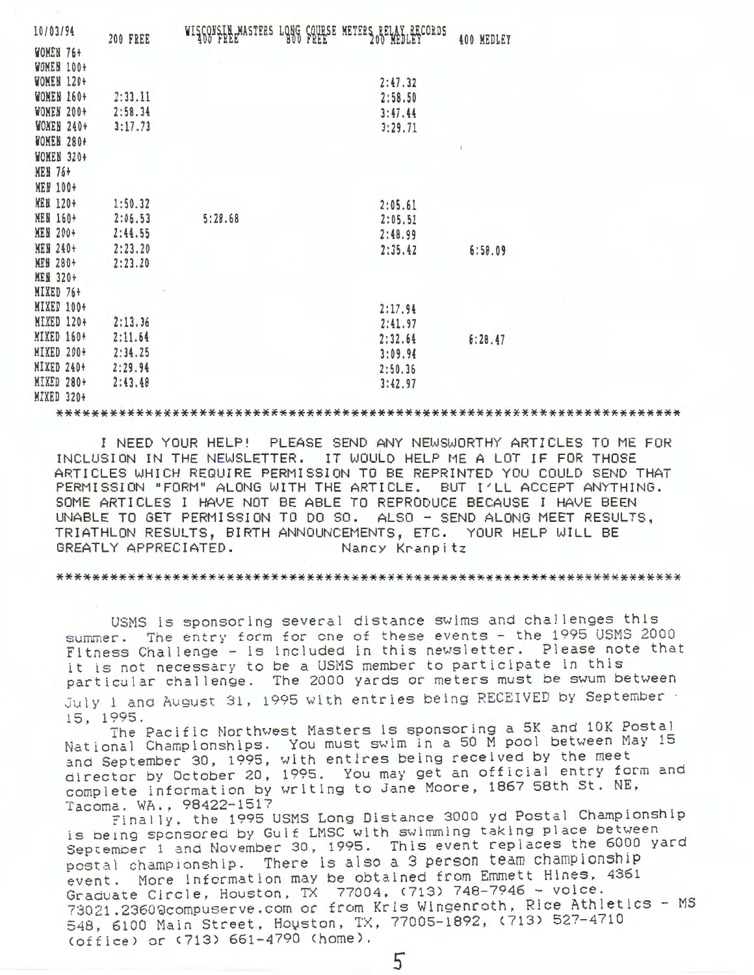| 10/03/94          | 200 FREE |         | WISCONSIN MASTERS LONG COURSE METERS RELAY RECORDS | 400 MEDLEY |
|-------------------|----------|---------|----------------------------------------------------|------------|
| WOMEN 76+         |          |         |                                                    |            |
| WOMEN 100+        |          |         |                                                    |            |
| <b>WOMEN 120+</b> |          |         | 2:47.32                                            |            |
| <b>WOMEN 160+</b> | 2:33.11  |         | 2:58.50                                            |            |
| <b>WOMEN 200+</b> | 2:58.34  |         | 3:47.44                                            |            |
| <b>WOMEN 240+</b> | 3:17.73  |         | 3:29.71                                            |            |
| <b>WOMEN 280+</b> |          |         |                                                    | J.         |
| <b>WOMEN 320+</b> |          |         |                                                    |            |
| <b>NEN 76+</b>    |          |         |                                                    |            |
| <b>NEN 100+</b>   |          |         |                                                    |            |
| <b>MEN 120+</b>   | 1:50.32  |         | 2:05.61                                            |            |
| <b>MEN 160+</b>   | 2:06.53  | 5:28.68 | 2:05.51                                            |            |
| <b>NEN 200+</b>   | 2:44.55  |         | 2:48.99                                            |            |
| <b>NEN 240+</b>   | 2:23.20  |         | 2:35.42                                            | 6:58.09    |
| <b>MEN 280+</b>   | 2:23.20  |         |                                                    |            |
| <b>MEN 320+</b>   |          |         |                                                    |            |
| MIXED 76+         |          |         |                                                    |            |
| MIXED 100+        |          |         | 2:17.94                                            |            |
| MIXED 120+        | 2:13.36  |         | 2:41.97                                            |            |
| MIXED 160+        | 2:11.64  |         | 2:32.64                                            | 6:28.47    |
| MIXED 200+        | 2:34.25  |         | 3:09.94                                            |            |
| MIXED 240+        | 2:29.94  |         | 2:50.36                                            |            |
| MIXED 280+        | 2:43.48  |         | 3:42.97                                            |            |
| MIXED 320+        |          |         |                                                    |            |

I NEED YOUR HELP! PLEASE SEND ANY NEWSWORTHY ARTICLES TO ME FOR INCLUSION IN THE NEWSLETTER. IT WOULD HELP ME A LOT IF FOR THOSE ARTICLES WHICH REQUIRE PERMISSION TO BE REPRINTED YOU COULD SEND THAT PERMISSION "FORM" ALONG WITH THE ARTICLE. BUT I'LL ACCEPT ANYTHING. SOME ARTICLES I HAVE NOT BE ABLE TO REPRODUCE BECAUSE I HAVE BEEN UNABLE TO GET PERMISSION TO DO SO. ALSO - SEND ALONG MEET RESULTS, TRIATHLON RESULTS, BIRTH ANNOUNCEMENTS, ETC. YOUR HELP WILL BE . GREATLY APPRECIATED. Nancy Kranpitz

### 

USMS is sponsoring several distance swims and challenges this summer. The entry form for one of these events - the 1995 USMS 2000 Fitness Challenge - is included in this newsletter. Please note that it is not necessary to be a USMS member to participate in this particular challenge. The 2000 yards or meters must be swum between July 1 and August 31, 1995 with entries being RECEIVED by September · 15, 1995.

The Pacific Northwest Masters is sponsoring a 5K and 10K Postal National Championships. You must swim in a 50 M pool between May 15 and September 30, 1995, with entires being received by the meet director by October 20, 1995. You may get an official entry form and complete information by writing to Jane Moore, 1867 58th St. NE, Tacoma, WA., 98422-1517

Finally, the 1995 USMS Long Distance 3000 yd Postal Championship is being spcnsored by Gulf LMSC with swimming taking place between September 1 and November 30, 1995. This event replaces the 6000 yard postal championship. There is also a 3 person team championship event. More information may be obtained from Emmett Hines, 4361 Graduate Circle, Houston, TX 77004, <713) 748-7946 - voice. 73021.2360Qcompuserve.com or from Kris Wingenroth, Rice Athletics - MS 548, 6100 Main Street, Hovston, TX, 77005-1892, <713> 527-4710 (office) or (713) 661-4790 (home).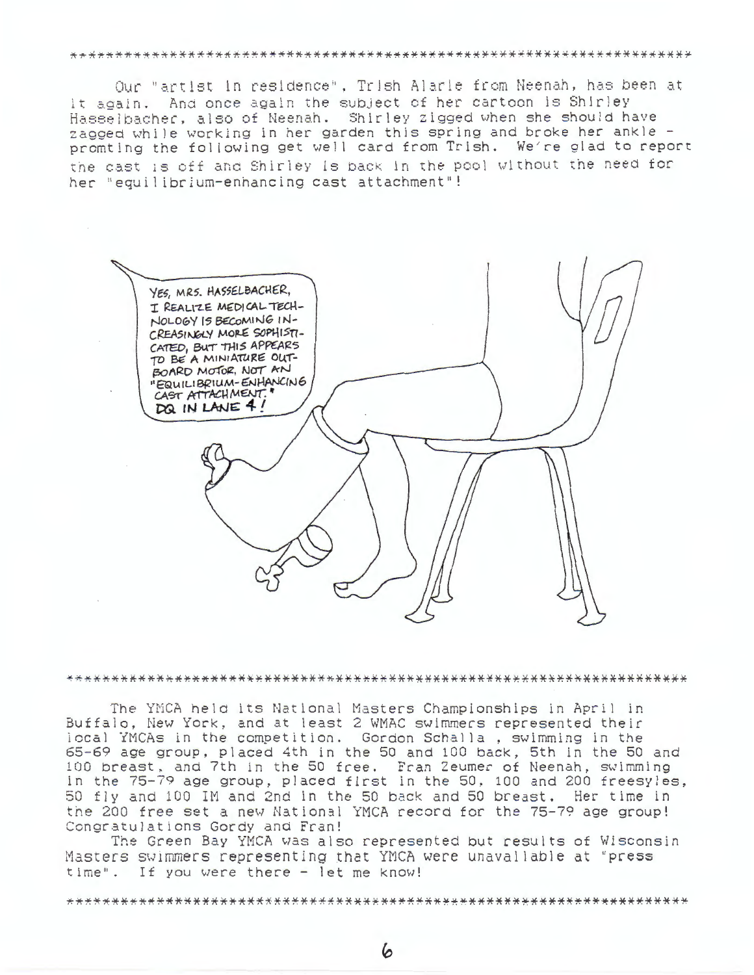### 

Our "artist in residence", Trish Alarie from Neenah, has been at it again. And once again the subject of her cartoon is Shirley Hasselbacher, also of Neenah. Shirley zigged when she should have zadded while working in her garden this spring and broke her ankle promting the following get well card from Trish. We're glad to report the cast is off and Shirley is back in the pool without the need for her "equilibrium-enhancing cast attachment"!



The YMCA held its National Masters Championships in April in Buffalo, New York, and at least 2 WMAC swimmers represented their local YMCAs in the competition. Gordon Schalla, swimming in the 65-69 age group, placed 4th in the 50 and 100 back, 5th in the 50 and 100 breast, and 7th in the 50 free. Fran Zeumer of Neenah, swimming<br>in the 75-79 age group, placed first in the 50, 100 and 200 freesyles, 50 fly and 100 IM and 2nd in the 50 back and 50 breast. Her time in the 200 free set a new National YMCA record for the 75-79 age group! Congratulations Gordy and Fran!

The Green Bay YMCA was also represented but results of Wisconsin Masters swimmers representing that YMCA were unavailable at "press time". If you were there - let me know!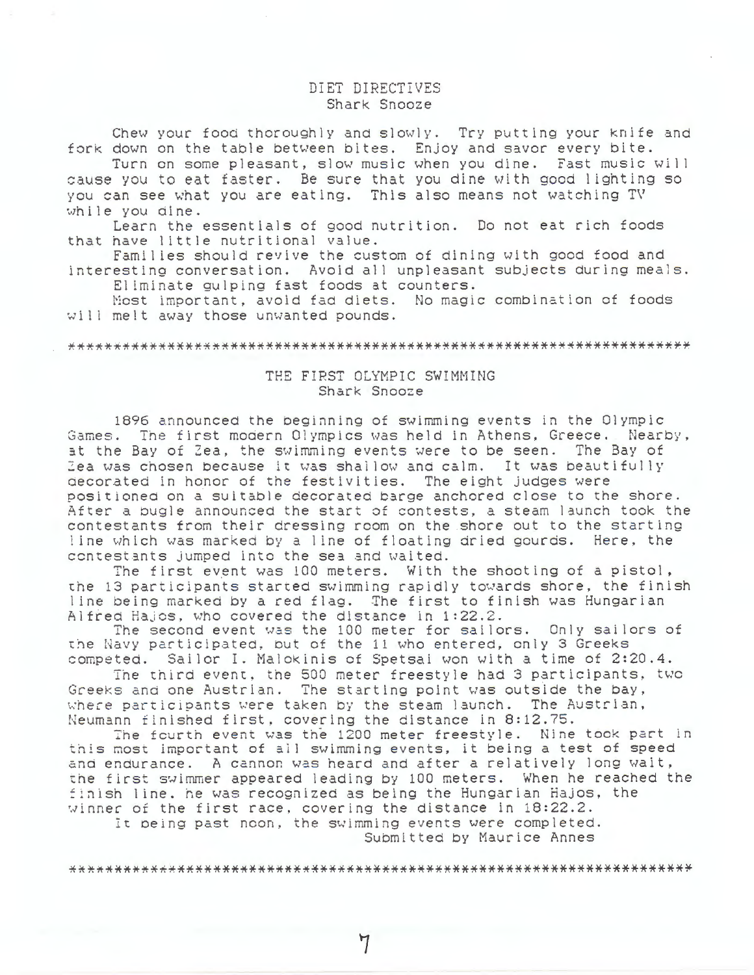# **DIET DIRECTI\7ES**  Shark Snooze

Chew your food thoroughly and slowly. Try putting your knife and fork down on the table between bites. Enjoy and savor every bite.

Turn on some pleasant, slow music when you dine. Fast music will cause you to eat faster. Be sure that you dine with good lighting so you can see what you are eating. This also means not watching TV while you dine.<br>Learn the essentials of good nutrition. Do not eat rich foods

that have little nutritional value.

Families should revive the custom of dining with good food and interesting conversation. Avoid all unpleasant subjects during meals. Eliminate gulping fast foods at counters.

Most important, avoid fad diets. No magic combination of foods will melt away those unwanted pounds.

### 

# THE FIRST OLYMPIC SWIMMING Shark Snooze

1896 announced the beginning of swimming events in the Olympic Games. The first modern Olympics was held in Athens, Greece. Nearby, at the Bay of Zea, the swimming events were to be seen. The Bay of 2ea was chosen because it was shallow and calm. It was beautifully decorated in honor of the festivities. The eight Judges were positioned on a suitable decorated barge anchored close to the shore. After a bugle announced the start of contests, a steam launch took the contestants from their dressing room on the shore out to the starting ! ine which was marked by a I ine of floating dried gourds. Here, the contestants Jumped into the sea and waited.

The first event was 100 meters. With the shooting of a pistol, the 13 participants started swimming rapidly towards shore, the finish I ine being marked by a red flag. The first to finish was Hungarian Alfred Hajos, who covered the distance in  $1:22.2$ .

The second event was the 100 meter for sailors. Only sailors of the Navy participated, but of the 11 who entered, only 3 Greeks competed. Sailor I. Malokinis of Spetsai won with a time of 2:20.4.

The third event. the 500 meter freestyle had 3 participants. two Greeks and one Austrian. The starting point was outside the bay,<br>where participants were taken by the steam launch. The Austrian, where participants were taken by the steam launch. Neumann finished first. covering the distance in 8:12.75.

The fourth event was the 1200 meter freestyle. Nine took part in this most important of all swimming events, it being a test of speed and endurance. A cannon was heard and after a relatively long wait, the first swimmer appeared leading by 100 meters. When he reached the :1nish line. he was recognized as being the Hungarian Hajos, the  $\omega$ inner of the first race. covering the distance in  $18:22.2$ .

It oeing past noon, the swimming events were completed. Submitted by Maurice Annes

\*\*\*\*\*\*\*\*\*\*\*\*\*\*\*\*\*\*\*\*\*\*\*\*\*\*\*\*\*\*\*\*\*\*\*\*\*\*\*\*\*\*\*\*\*\*\*\*\*\*\*\*\*\*\*\*\*\*\*\*\*\*\*\*\*\*\*\*\*\*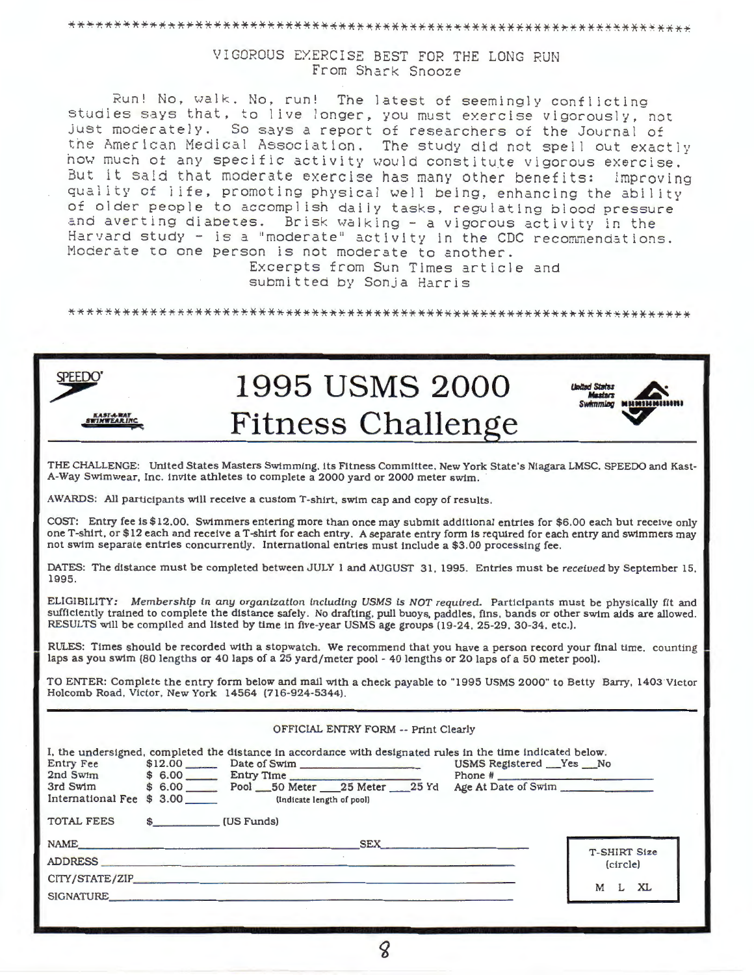VIGOROUS EXERCISE BEST FOR THE LONG RUN From Shark Snooze

Run! No, walk. No, run! The latest of seemingly conflicting studies says that, to live longer, you must exercise vigorously, not Just moderately. So says a report of researchers of the Journal of the American Medical Association. The study did not spell out exactly how much of any specific activity would constitute vigorous exercise. But it said that moderate exercise has many other benefits: improving quality of life, promoting physical well being, enhancing the ability of older people to accomplish daily tasks, regulating blood pressure and averting diabetes. Brisk walking - a vigorous activity in the Harvard study - is a "moderate" activity in the CDC recommendations. Moderate to one person is not moderate to another.

Excerpts from Sun Times article and submitted by Sonja Harris

| 1995 USMS 2000<br><b>United States</b><br>Mastars<br><b>Swimmlog</b><br>Fitness Challenge<br><b>SWIMWEAR INC.</b>                                                                                                                                                                                                                                                                                                                                                             |  |  |  |  |  |  |  |
|-------------------------------------------------------------------------------------------------------------------------------------------------------------------------------------------------------------------------------------------------------------------------------------------------------------------------------------------------------------------------------------------------------------------------------------------------------------------------------|--|--|--|--|--|--|--|
| THE CHALLENGE: United States Masters Swimming, its Fitness Committee, New York State's Niagara LMSC, SPEEDO and Kast-<br>A-Way Swimwear, Inc. invite athletes to complete a 2000 yard or 2000 meter swim.<br>AWARDS: All participants will receive a custom T-shirt, swim cap and copy of results.                                                                                                                                                                            |  |  |  |  |  |  |  |
| COST: Entry fee is \$12.00. Swimmers entering more than once may submit additional entries for \$6.00 each but receive only<br>one T-shirt, or \$12 each and receive a T-shirt for each entry. A separate entry form is required for each entry and swimmers may<br>not swim separate entries concurrently. International entries must include a \$3.00 processing fee.                                                                                                       |  |  |  |  |  |  |  |
| DATES: The distance must be completed between JULY 1 and AUGUST 31, 1995. Entries must be received by September 15,<br>1995.                                                                                                                                                                                                                                                                                                                                                  |  |  |  |  |  |  |  |
| ELIGIBILITY: Membership in any organization including USMS is NOT required. Participants must be physically fit and<br>sufficiently trained to complete the distance safely. No drafting, pull buoys, paddles, fins, bands or other swim aids are allowed.<br>RESULTS will be compiled and listed by time in five-year USMS age groups (19-24, 25-29, 30-34, etc.).                                                                                                           |  |  |  |  |  |  |  |
| RULES: Times should be recorded with a stopwatch. We recommend that you have a person record your final time, counting<br>laps as you swim (80 lengths or 40 laps of a 25 yard/meter pool - 40 lengths or 20 laps of a 50 meter pool).                                                                                                                                                                                                                                        |  |  |  |  |  |  |  |
| TO ENTER: Complete the entry form below and mail with a check payable to "1995 USMS 2000" to Betty Barry, 1403 Victor<br>Holcomb Road, Victor, New York 14564 (716-924-5344).                                                                                                                                                                                                                                                                                                 |  |  |  |  |  |  |  |
| OFFICIAL ENTRY FORM -- Print Clearly                                                                                                                                                                                                                                                                                                                                                                                                                                          |  |  |  |  |  |  |  |
| I, the undersigned, completed the distance in accordance with designated rules in the time indicated below.<br>USMS Registered __ Yes __ No<br>Entry Fee<br>\$ 6.00 Entry Time Phone # Phone # Phone # Phone # Phone # Phone # Phone # Phone # Phone # Phone # Phone # Phone # Phone # Phone # Phone # Phone # Phone # Phone # Phone # Phone # Phone # Phone # Phone # Phone # Phone # Phon<br>2nd Swim<br>3rd Swim<br>International Fee \$ 3.00<br>(Indicate length of pool) |  |  |  |  |  |  |  |
| $$$ (US Funds)<br>TOTAL FEES                                                                                                                                                                                                                                                                                                                                                                                                                                                  |  |  |  |  |  |  |  |
| <b>T-SHIRT Size</b>                                                                                                                                                                                                                                                                                                                                                                                                                                                           |  |  |  |  |  |  |  |
| (circle)                                                                                                                                                                                                                                                                                                                                                                                                                                                                      |  |  |  |  |  |  |  |
| M L XL<br>SIGNATURE <b>SIGNATURE</b>                                                                                                                                                                                                                                                                                                                                                                                                                                          |  |  |  |  |  |  |  |
|                                                                                                                                                                                                                                                                                                                                                                                                                                                                               |  |  |  |  |  |  |  |

Q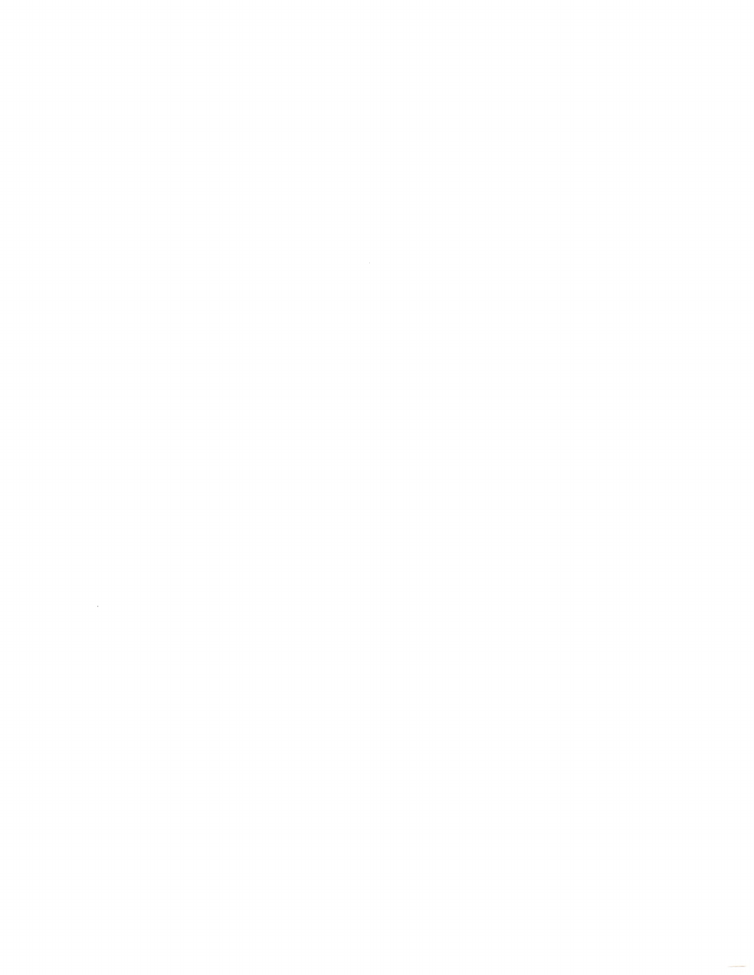$\label{eq:2.1} \frac{1}{\sqrt{2}}\left(\frac{1}{\sqrt{2}}\right)^{2} \left(\frac{1}{\sqrt{2}}\right)^{2} \left(\frac{1}{\sqrt{2}}\right)^{2} \left(\frac{1}{\sqrt{2}}\right)^{2} \left(\frac{1}{\sqrt{2}}\right)^{2} \left(\frac{1}{\sqrt{2}}\right)^{2} \left(\frac{1}{\sqrt{2}}\right)^{2} \left(\frac{1}{\sqrt{2}}\right)^{2} \left(\frac{1}{\sqrt{2}}\right)^{2} \left(\frac{1}{\sqrt{2}}\right)^{2} \left(\frac{1}{\sqrt{2}}\right)^{2} \left(\$